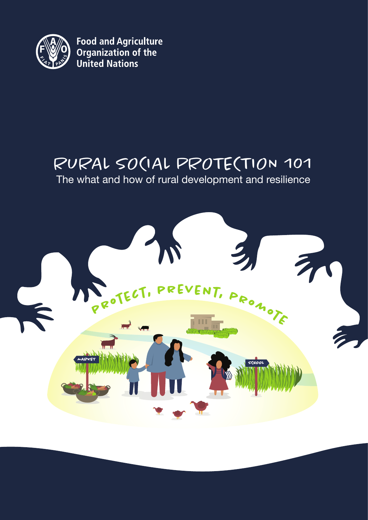

**Food and Agriculture<br>Organization of the<br>United Nations** 

## RURAL SO(IAL PROTE(TION 101

The what and how of rural development and resilience

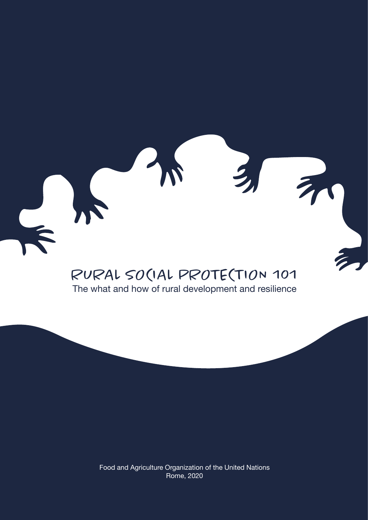

The what and how of rural development and resilience

Food and Agriculture Organization of the United Nations Rome, 2020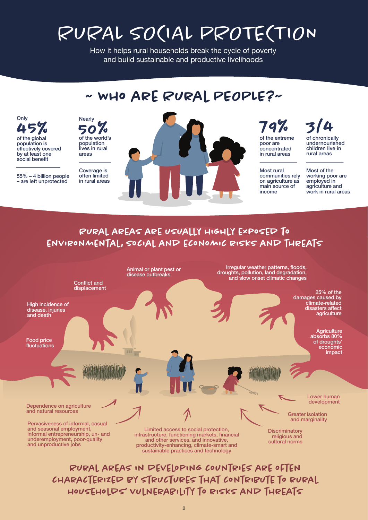# RURAL SOCIAL PROTECTION

How it helps rural households break the cycle of poverty and build sustainable and productive livelihoods

#### ~ Who are Rural PEOPLE?~ **Nearly** 50 of the world's % population lives in rural areas Most rural communities rely on agriculture as main source of income 79% of the extreme poor are concentrated in rural areas Coverage is often limited in rural areas

**Only** 

 $45\%$ 

population is effectively covered by at least one social benefit

55% – 4 billion people – are left unprotected

## 3/4

of chronically undernourished children live in rural areas

Most of the working poor are employed in agriculture and work in rural areas

## Rural areas are usually highly exposed to environmental, social and economic risks and threats



characterized by structures that contribute to rural households' vulnerability to risks and threats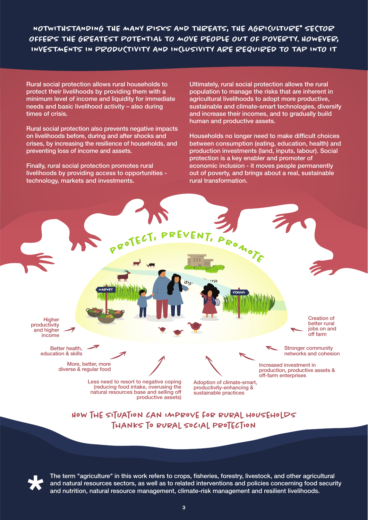NOTWITHSTANDING THE MANY RISKS AND THREATS, THE AGRICULTURE\* SECTOR OFFERS THE GREATEST POTENTIAL TO MOVE PEOPLE OUT OF POVERTY. HOWEVER, INVESTMENTS IN PRODUCTIVITY AND INCLUSIVITY ARE REQUIRED TO TAP INTO IT

Rural social protection allows rural households to protect their livelihoods by providing them with a minimum level of income and liquidity for immediate needs and basic livelihood activity – also during times of crisis.

Rural social protection also prevents negative impacts on livelihoods before, during and after shocks and crises, by increasing the resilience of households, and preventing loss of income and assets.

Finally, rural social protection promotes rural livelihoods by providing access to opportunities technology, markets and investments.

Ultimately, rural social protection allows the rural population to manage the risks that are inherent in agricultural livelihoods to adopt more productive, sustainable and climate-smart technologies, diversify and increase their incomes, and to gradually build human and productive assets.

Households no longer need to make difficult choices between consumption (eating, education, health) and production investments (land, inputs, labour). Social protection is a key enabler and promoter of economic inclusion - it moves people permanently out of poverty, and brings about a real, sustainable rural transformation.

**Higher** productivity and higher income

> Better health, education & skills

> > More, better, more diverse & regular food

> > > Less need to resort to negative coping (reducing food intake, overusing the natural resources base and selling off productive assets)

Adoption of climate-smart, productivity-enhancing & sustainable practices

jobs on and off farm

Creation of better rural

Stronger community networks and cohesion

Increased investment in production, productive assets & off-farm enterprises

How the situation can improve for rural households thanks to rural social protection

agriculture

**<sup>p</sup>r<sup>o</sup>tect, <sup>p</sup>revent, <sup>p</sup>r<sup>o</sup>m<sup>o</sup>t<sup>e</sup>**

**SCHOOL** SCHOOL SCHOOL SCHOOL SCHOOL



The term "agriculture" in this work refers to crops, fisheries, forestry, livestock, and other agricultural and natural resources sectors, as well as to related interventions and policies concerning food security and nutrition, natural resource management, climate-risk management and resilient livelihoods.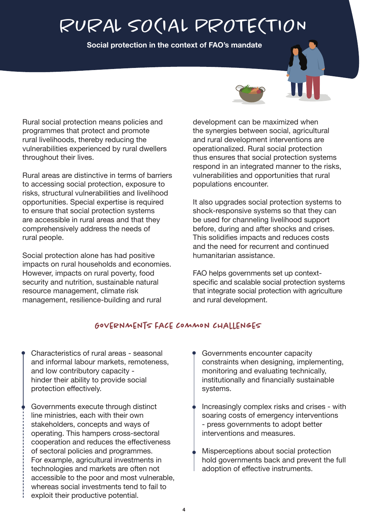# RURAL SOCIAL PROTECTION

**Social protection in the context of FAO's mandate** 



Rural social protection means policies and programmes that protect and promote rural livelihoods, thereby reducing the vulnerabilities experienced by rural dwellers throughout their lives.

Rural areas are distinctive in terms of barriers to accessing social protection, exposure to risks, structural vulnerabilities and livelihood opportunities. Special expertise is required to ensure that social protection systems are accessible in rural areas and that they comprehensively address the needs of rural people.

Social protection alone has had positive impacts on rural households and economies. However, impacts on rural poverty, food security and nutrition, sustainable natural resource management, climate risk management, resilience-building and rural

development can be maximized when the synergies between social, agricultural and rural development interventions are operationalized. Rural social protection thus ensures that social protection systems respond in an integrated manner to the risks, vulnerabilities and opportunities that rural populations encounter.

It also upgrades social protection systems to shock-responsive systems so that they can be used for channeling livelihood support before, during and after shocks and crises. This solidifies impacts and reduces costs and the need for recurrent and continued humanitarian assistance.

FAO helps governments set up contextspecific and scalable social protection systems that integrate social protection with agriculture and rural development.

## Governments face common challenges

- Characteristics of rural areas seasonal and informal labour markets, remoteness, and low contributory capacity hinder their ability to provide social protection effectively.
- Governments execute through distinct line ministries, each with their own stakeholders, concepts and ways of operating. This hampers cross-sectoral cooperation and reduces the effectiveness of sectoral policies and programmes. For example, agricultural investments in technologies and markets are often not accessible to the poor and most vulnerable, whereas social investments tend to fail to exploit their productive potential.
- Governments encounter capacity constraints when designing, implementing, monitoring and evaluating technically, institutionally and financially sustainable systems.
- Increasingly complex risks and crises with soaring costs of emergency interventions - press governments to adopt better interventions and measures.
- Misperceptions about social protection hold governments back and prevent the full adoption of effective instruments.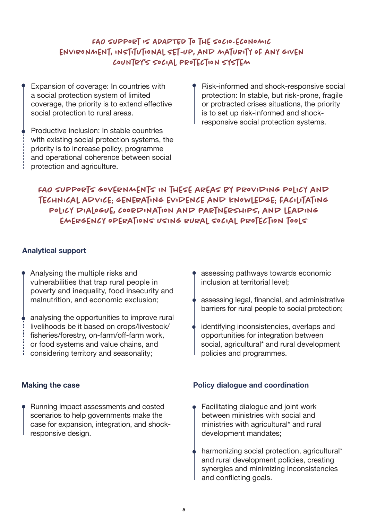## FAO SUPPORT IS ADAPTED TO THE SOCIO-ECONOMIC environment, institutional set-up, and maturity of any given country's social protection system

Expansion of coverage: In countries with a social protection system of limited coverage, the priority is to extend effective social protection to rural areas.

Productive inclusion: In stable countries with existing social protection systems, the priority is to increase policy, programme and operational coherence between social protection and agriculture.

Risk-informed and shock-responsive social protection: In stable, but risk-prone, fragile or protracted crises situations, the priority is to set up risk-informed and shockresponsive social protection systems.

## FAO SUPPORTS GOVERNMENTS IN THESE AREAS BY PROVIDING POLICY AND technical advice; generating evidence and knowledge; facilitating policy dialogue, coordination and partnerships, and leading emergency operations using rural social protection tools

#### **Analytical support**

- Analysing the multiple risks and vulnerabilities that trap rural people in poverty and inequality, food insecurity and malnutrition, and economic exclusion;
- analysing the opportunities to improve rural livelihoods be it based on crops/livestock/ fisheries/forestry, on-farm/off-farm work, or food systems and value chains, and considering territory and seasonality;

#### **Making the case**

Running impact assessments and costed scenarios to help governments make the case for expansion, integration, and shockresponsive design.

- assessing pathways towards economic inclusion at territorial level;
- assessing legal, financial, and administrative barriers for rural people to social protection;
- identifying inconsistencies, overlaps and opportunities for integration between social, agricultural\* and rural development policies and programmes.

#### **Policy dialogue and coordination**

- Facilitating dialogue and joint work between ministries with social and ministries with agricultural\* and rural development mandates;
- harmonizing social protection, agricultural\* and rural development policies, creating synergies and minimizing inconsistencies and conflicting goals.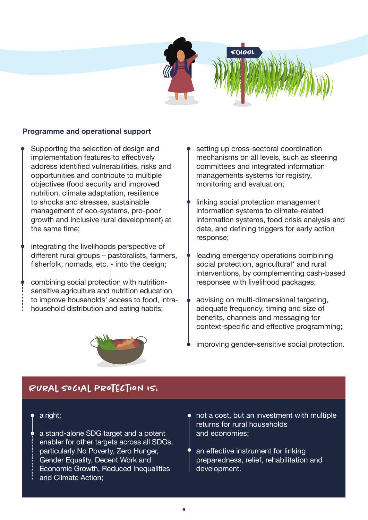



Supporting the selection of design and implementation features to effectively address identified vulnerabilities, risks and opportunities and contribute to multiple objectives (food security and improved nutrition, climate adaptation, resilience to shocks and stresses, sustainable management of eco-systems, pro-poor growth and inclusive rural development) at the same time;

integrating the livelihoods perspective of different rural groups – pastoralists, farmers, fisherfolk, nomads, etc. - into the design;

combining social protection with nutritionsensitive agriculture and nutrition education to improve households' access to food, intrahousehold distribution and eating habits;



setting up cross-sectoral coordination mechanisms on all levels, such as steering committees and integrated information managements systems for registry, monitoring and evaluation;

**SCHOOL**

- linking social protection management information systems to climate-related information systems, food crisis analysis and data, and defining triggers for early action response;
- leading emergency operations combining social protection, agricultural\* and rural interventions, by complementing cash-based responses with livelihood packages;
- advising on multi-dimensional targeting, adequate frequency, timing and size of benefits, channels and messaging for context-specific and effective programming;
- improving gender-sensitive social protection.

## Rural social protection is:

#### a right;

a stand-alone SDG target and a potent enabler for other targets across all SDGs, particularly No Poverty, Zero Hunger, Gender Equality, Decent Work and Economic Growth, Reduced Inequalities and Climate Action;

- not a cost, but an investment with multiple returns for rural households and economies;
- an effective instrument for linking preparedness, relief, rehabilitation and development.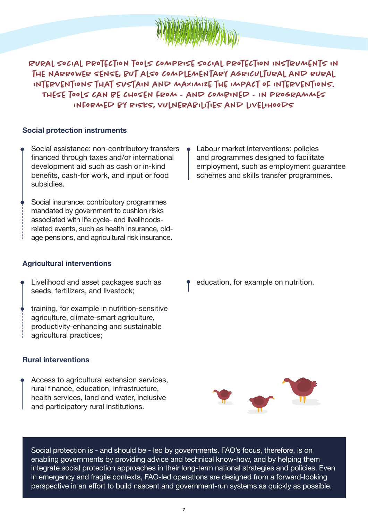

Rural social protection tools comprise social protection instruments in the narrower sense, but also complementary agricultural and rural interventions that sustain and maximize the impact of interventions. These tools can be chosen from - and combined - in programmes informed by risks, vulnerabilities and livelihoods

#### **Social protection instruments**

- Social assistance: non-contributory transfers financed through taxes and/or international development aid such as cash or in-kind benefits, cash-for work, and input or food subsidies.
- Social insurance: contributory programmes mandated by government to cushion risks associated with life cycle- and livelihoodsrelated events, such as health insurance, oldage pensions, and agricultural risk insurance.

#### **Agricultural interventions**

- Livelihood and asset packages such as seeds, fertilizers, and livestock;
- training, for example in nutrition-sensitive agriculture, climate-smart agriculture, productivity-enhancing and sustainable agricultural practices;

#### **Rural interventions**

Access to agricultural extension services, rural finance, education, infrastructure, health services, land and water, inclusive and participatory rural institutions.

Labour market interventions: policies and programmes designed to facilitate employment, such as employment guarantee schemes and skills transfer programmes.

education, for example on nutrition.



Social protection is - and should be - led by governments. FAO's focus, therefore, is on enabling governments by providing advice and technical know-how, and by helping them integrate social protection approaches in their long-term national strategies and policies. Even in emergency and fragile contexts, FAO-led operations are designed from a forward-looking perspective in an effort to build nascent and government-run systems as quickly as possible.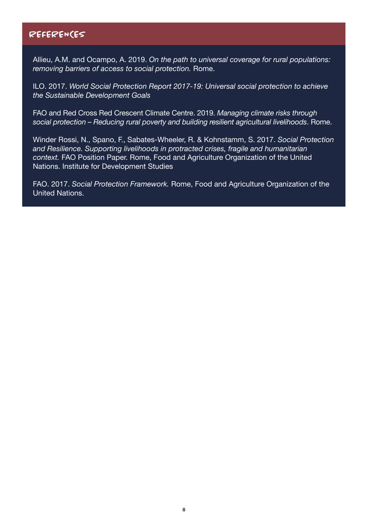## REFERENCES

Allieu, A.M. and Ocampo, A. 2019. *On the path to universal coverage for rural populations: removing barriers of access to social protection.* Rome.

ILO. 2017. *World Social Protection Report 2017-19: Universal social protection to achieve the Sustainable Development Goals* 

FAO and Red Cross Red Crescent Climate Centre. 2019. *Managing climate risks through social protection – Reducing rural poverty and building resilient agricultural livelihoods*. Rome.

Winder Rossi, N., Spano, F., Sabates-Wheeler, R. & Kohnstamm, S. 2017. *Social Protection and Resilience. Supporting livelihoods in protracted crises, fragile and humanitarian context.* FAO Position Paper. Rome, Food and Agriculture Organization of the United Nations. Institute for Development Studies

FAO. 2017. *Social Protection Framework.* Rome, Food and Agriculture Organization of the United Nations.